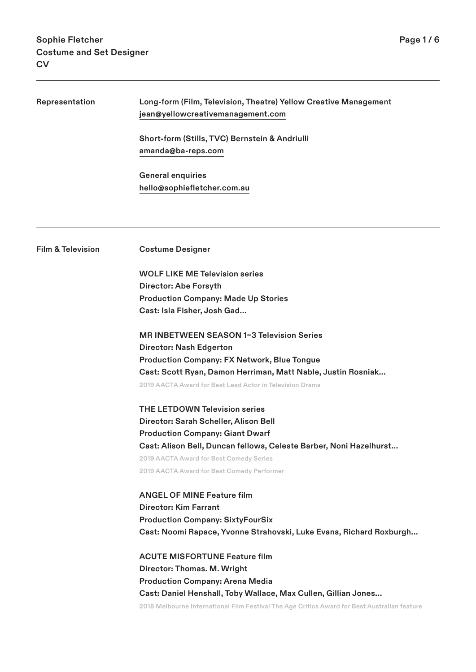| Representation                                  | Long-form (Film, Television, Theatre) Yellow Creative Management                             |                              |
|-------------------------------------------------|----------------------------------------------------------------------------------------------|------------------------------|
|                                                 | jean@yellowcreativemanagement.com<br>Short-form (Stills, TVC) Bernstein & Andriulli          |                              |
|                                                 |                                                                                              | amanda@ba-reps.com           |
|                                                 | <b>General enquiries</b><br>hello@sophiefletcher.com.au                                      |                              |
|                                                 |                                                                                              | <b>Film &amp; Television</b> |
|                                                 | <b>WOLF LIKE ME Television series</b>                                                        |                              |
| Director: Abe Forsyth                           |                                                                                              |                              |
| <b>Production Company: Made Up Stories</b>      |                                                                                              |                              |
| Cast: Isla Fisher, Josh Gad                     |                                                                                              |                              |
| <b>MRINBETWEEN SEASON 1-3 Television Series</b> |                                                                                              |                              |
|                                                 | <b>Director: Nash Edgerton</b>                                                               |                              |
|                                                 | <b>Production Company: FX Network, Blue Tongue</b>                                           |                              |
|                                                 | Cast: Scott Ryan, Damon Herriman, Matt Nable, Justin Rosniak                                 |                              |
|                                                 | 2019 AACTA Award for Best Lead Actor in Television Drama                                     |                              |
|                                                 | <b>THE LETDOWN Television series</b>                                                         |                              |
|                                                 | Director: Sarah Scheller, Alison Bell                                                        |                              |
|                                                 | <b>Production Company: Giant Dwarf</b>                                                       |                              |
|                                                 | Cast: Alison Bell, Duncan fellows, Celeste Barber, Noni Hazelhurst                           |                              |
|                                                 | 2019 AACTA Award for Best Comedy Series                                                      |                              |
|                                                 | 2019 AACTA Award for Best Comedy Performer                                                   |                              |
|                                                 | <b>ANGEL OF MINE Feature film</b>                                                            |                              |
|                                                 | <b>Director: Kim Farrant</b>                                                                 |                              |
|                                                 | <b>Production Company: SixtyFourSix</b>                                                      |                              |
|                                                 | Cast: Noomi Rapace, Yvonne Strahovski, Luke Evans, Richard Roxburgh                          |                              |
|                                                 | <b>ACUTE MISFORTUNE Feature film</b>                                                         |                              |
|                                                 | Director: Thomas. M. Wright                                                                  |                              |
|                                                 | <b>Production Company: Arena Media</b>                                                       |                              |
|                                                 | Cast: Daniel Henshall, Toby Wallace, Max Cullen, Gillian Jones                               |                              |
|                                                 | 2018 Melbourne International Film Festival The Age Critics Award for Best Australian feature |                              |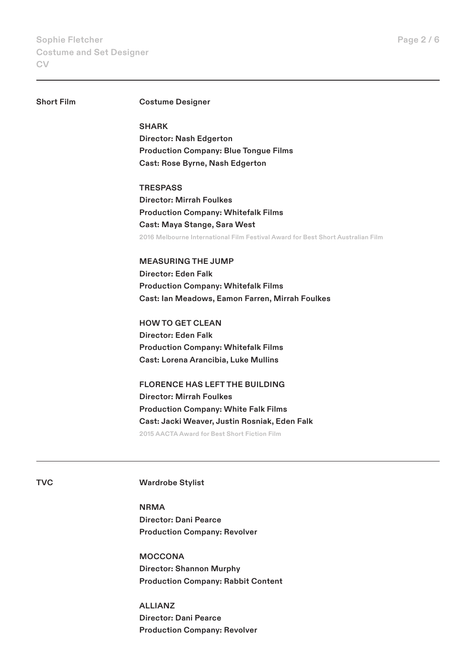# **Short Film Costume Designer**

**SHARK Director: Nash Edgerton Production Company: Blue Tongue Films Cast: Rose Byrne, Nash Edgerton**

**TRESPASS Director: Mirrah Foulkes Production Company: Whitefalk Films Cast: Maya Stange, Sara West**

**2016 Melbourne International Film Festival Award for Best Short Australian Film**

**MEASURING THE JUMP Director: Eden Falk Production Company: Whitefalk Films Cast: Ian Meadows, Eamon Farren, Mirrah Foulkes**

**HOW TO GET CLEAN Director: Eden Falk Production Company: Whitefalk Films Cast: Lorena Arancibia, Luke Mullins**

**FLORENCE HAS LEFT THE BUILDING Director: Mirrah Foulkes Production Company: White Falk Films Cast: Jacki Weaver, Justin Rosniak, Eden Falk 2015 AACTA Award for Best Short Fiction Film**

**TVC Wardrobe Stylist**

**NRMA Director: Dani Pearce Production Company: Revolver**

**MOCCONA Director: Shannon Murphy Production Company: Rabbit Content**

**ALLIANZ Director: Dani Pearce Production Company: Revolver**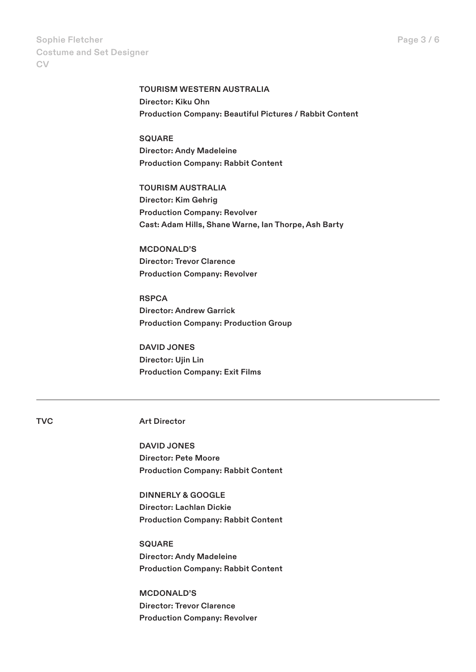**TOURISM WESTERN AUSTRALIA Director: Kiku Ohn Production Company: Beautiful Pictures / Rabbit Content**

**SQUARE Director: Andy Madeleine Production Company: Rabbit Content**

**TOURISM AUSTRALIA Director: Kim Gehrig Production Company: Revolver Cast: Adam Hills, Shane Warne, Ian Thorpe, Ash Barty**

**MCDONALD'S Director: Trevor Clarence Production Company: Revolver**

**RSPCA Director: Andrew Garrick Production Company: Production Group**

**DAVID JONES Director: Ujin Lin Production Company: Exit Films**

**TVC Art Director**

**DAVID JONES Director: Pete Moore Production Company: Rabbit Content**

**DINNERLY & GOOGLE Director: Lachlan Dickie Production Company: Rabbit Content**

**SQUARE Director: Andy Madeleine Production Company: Rabbit Content**

**MCDONALD'S Director: Trevor Clarence Production Company: Revolver**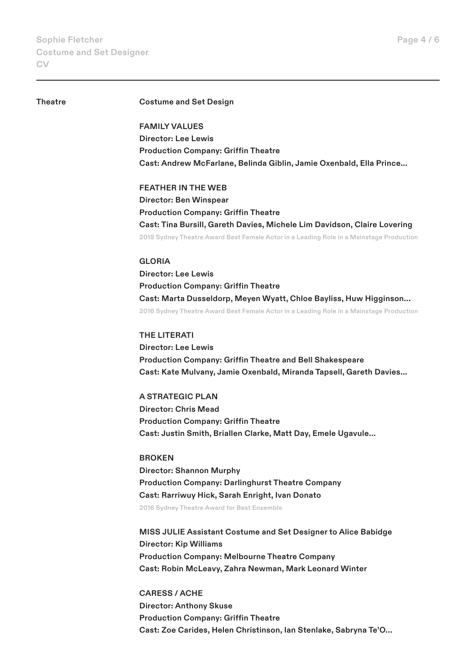## **Theatre Costume and Set Design**

**FAMILY VALUES Director: Lee Lewis Production Company: Griffin Theatre Cast: Andrew McFarlane, Belinda Giblin, Jamie Oxenbald, Ella Prince...**

**FEATHER IN THE WEB Director: Ben Winspear Production Company: Griffin Theatre Cast: Tina Bursill, Gareth Davies, Michele Lim Davidson, Claire Lovering 2018 Sydney Theatre Award Best Female Actor in a Leading Role in a Mainstage Production**

# **GLORIA**

**Director: Lee Lewis Production Company: Griffin Theatre Cast: Marta Dusseldorp, Meyen Wyatt, Chloe Bayliss, Huw Higginson... 2016 Sydney Theatre Award Best Female Actor in a Leading Role in a Mainstage Production**

**THE LITERATI Director: Lee Lewis Production Company: Griffin Theatre and Bell Shakespeare Cast: Kate Mulvany, Jamie Oxenbald, Miranda Tapsell, Gareth Davies...**

**A STRATEGIC PLAN Director: Chris Mead Production Company: Griffin Theatre Cast: Justin Smith, Briallen Clarke, Matt Day, Emele Ugavule...**

**BROKEN Director: Shannon Murphy Production Company: Darlinghurst Theatre Company Cast: Rarriwuy Hick, Sarah Enright, Ivan Donato 2016 Sydney Theatre Award for Best Ensemble**

**MISS JULIE Assistant Costume and Set Designer to Alice Babidge Director: Kip Williams Production Company: Melbourne Theatre Company Cast: Robin McLeavy, Zahra Newman, Mark Leonard Winter**

**CARESS / ACHE Director: Anthony Skuse Production Company: Griffin Theatre Cast: Zoe Carides, Helen Christinson, Ian Stenlake, Sabryna Te'O...**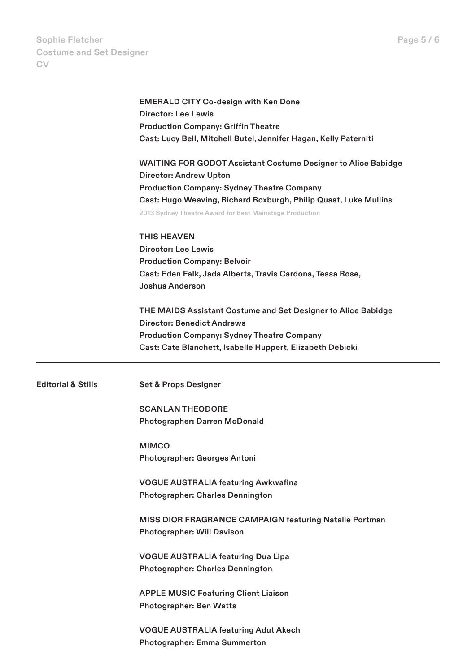**Sophie Fletcher Costume and Set Designer CV**

|                               | <b>EMERALD CITY Co-design with Ken Done</b>                          |
|-------------------------------|----------------------------------------------------------------------|
|                               | Director: Lee Lewis                                                  |
|                               | <b>Production Company: Griffin Theatre</b>                           |
|                               | Cast: Lucy Bell, Mitchell Butel, Jennifer Hagan, Kelly Paterniti     |
|                               | <b>WAITING FOR GODOT Assistant Costume Designer to Alice Babidge</b> |
|                               | <b>Director: Andrew Upton</b>                                        |
|                               | <b>Production Company: Sydney Theatre Company</b>                    |
|                               | Cast: Hugo Weaving, Richard Roxburgh, Philip Quast, Luke Mullins     |
|                               | 2013 Sydney Theatre Award for Best Mainstage Production              |
|                               | <b>THIS HEAVEN</b>                                                   |
|                               | <b>Director: Lee Lewis</b>                                           |
|                               | <b>Production Company: Belvoir</b>                                   |
|                               | Cast: Eden Falk, Jada Alberts, Travis Cardona, Tessa Rose,           |
|                               | Joshua Anderson                                                      |
|                               | THE MAIDS Assistant Costume and Set Designer to Alice Babidge        |
|                               | <b>Director: Benedict Andrews</b>                                    |
|                               | <b>Production Company: Sydney Theatre Company</b>                    |
|                               | Cast: Cate Blanchett, Isabelle Huppert, Elizabeth Debicki            |
| <b>Editorial &amp; Stills</b> | <b>Set &amp; Props Designer</b>                                      |
|                               |                                                                      |
|                               | <b>SCANLAN THEODORE</b>                                              |
|                               | <b>Photographer: Darren McDonald</b>                                 |
|                               | <b>MIMCO</b>                                                         |
|                               | Photographer: Georges Antoni                                         |
|                               | <b>VOGUE AUSTRALIA featuring Awkwafina</b>                           |
|                               | <b>Photographer: Charles Dennington</b>                              |
|                               | MISS DIOR FRAGRANCE CAMPAIGN featuring Natalie Portman               |
|                               | <b>Photographer: Will Davison</b>                                    |
|                               | <b>VOGUE AUSTRALIA featuring Dua Lipa</b>                            |
|                               | <b>Photographer: Charles Dennington</b>                              |
|                               | <b>APPLE MUSIC Featuring Client Liaison</b>                          |
|                               | <b>Photographer: Ben Watts</b>                                       |
|                               | <b>VOGUE AUSTRALIA featuring Adut Akech</b>                          |
|                               | Photographer: Emma Summerton                                         |